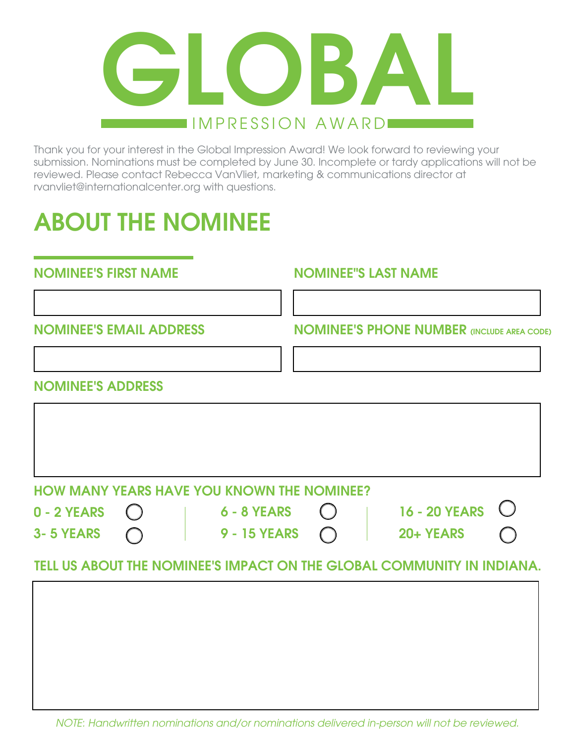

Thank you for your interest in the Global Impression Award! We look forward to reviewing your submission. Nominations must be completed by June 30. Incomplete or tardy applications will not be reviewed. Please contact Rebecca VanVliet, marketing & communications director at rvanvliet@internationalcenter.org with questions.

# ABOUT THE NOMINEE

#### NOMINEE'S FIRST NAME NOMINEE''S LAST NAME

NOMINEE'S EMAIL ADDRESS NOMINEE'S PHONE NUMBER (INCLUDE AREA CODE)

#### NOMINEE'S ADDRESS

| <b>HOW MANY YEARS HAVE YOU KNOWN THE NOMINEE?</b> |
|---------------------------------------------------|

0 - 2 YEARS 3- 5 YEARS

6 - 8 YEARS 9 - 15 YEARS

| <b>16 - 20 YEARS</b> | $\big($ |
|----------------------|---------|
| 20+ YEARS            | (       |

### TELL US ABOUT THE NOMINEE'S IMPACT ON THE GLOBAL COMMUNITY IN INDIANA.

*NOTE: Handwritten nominations and/or nominations delivered in-person will not be reviewed.*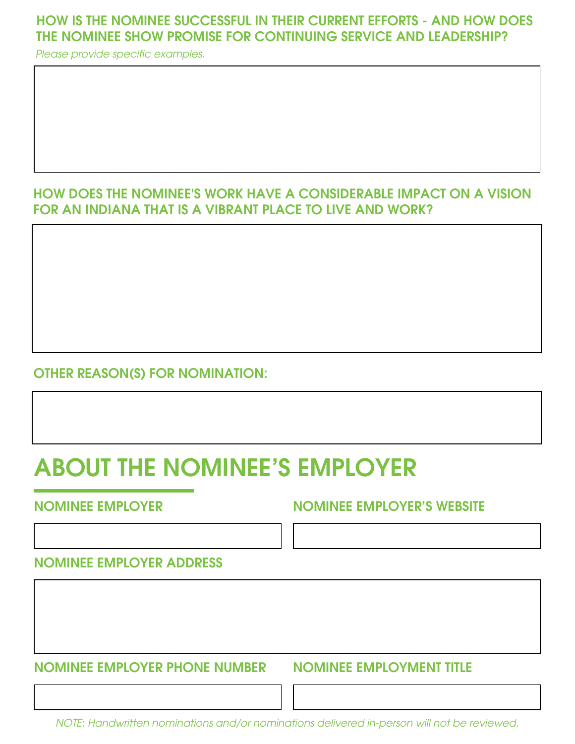### HOW IS THE NOMINEE SUCCESSFUL IN THEIR CURRENT EFFORTS - AND HOW DOES THE NOMINEE SHOW PROMISE FOR CONTINUING SERVICE AND LEADERSHIP?

Please provide specific examples.

### HOW DOES THE NOMINEE'S WORK HAVE A CONSIDERABLE IMPACT ON A VISION FOR AN INDIANA THAT IS A VIBRANT PLACE TO LIVE AND WORK?

#### OTHER REASON(S) FOR NOMINATION:

# ABOUT THE NOMINEE'S EMPLOYER

#### NOMINEE EMPLOYER NOMINEE EMPLOYER'S WEBSITE

NOMINEE EMPLOYER ADDRESS

NOMINEE EMPLOYER PHONE NUMBER

NOMINEE EMPLOYMENT TITLE

*NOTE: Handwritten nominations and/or nominations delivered in-person will not be reviewed.*